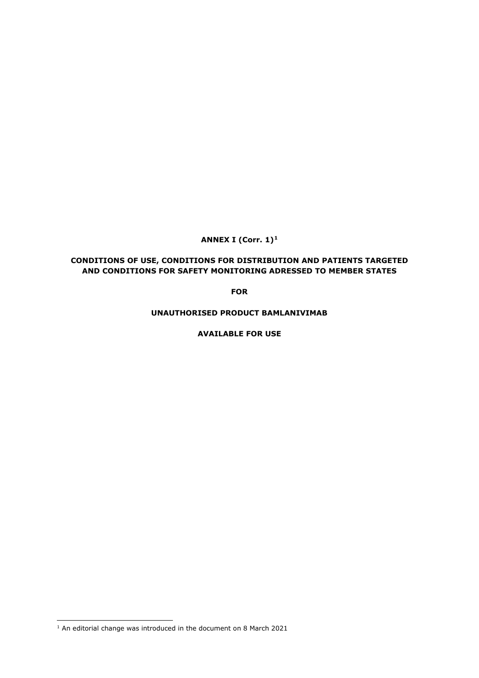**ANNEX I (Corr. 1)[1](#page-0-0)**

# **CONDITIONS OF USE, CONDITIONS FOR DISTRIBUTION AND PATIENTS TARGETED AND CONDITIONS FOR SAFETY MONITORING ADRESSED TO MEMBER STATES**

**FOR**

**UNAUTHORISED PRODUCT BAMLANIVIMAB**

**AVAILABLE FOR USE**

<span id="page-0-0"></span> $1$  An editorial change was introduced in the document on 8 March 2021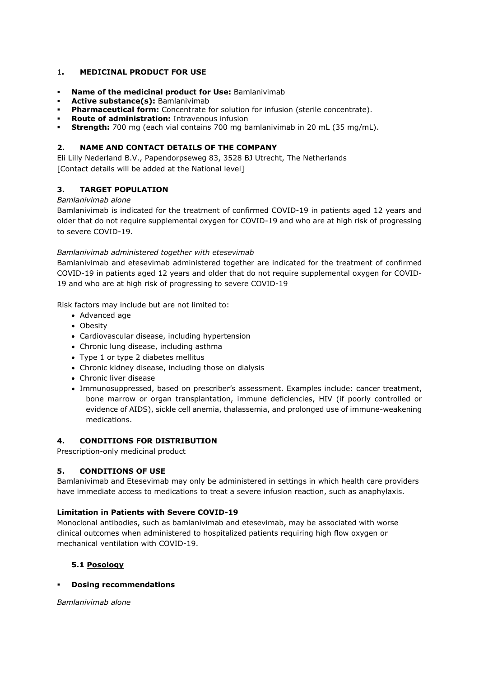### 1**. MEDICINAL PRODUCT FOR USE**

- **Name of the medicinal product for Use:** Bamlanivimab
- **Active substance(s):** Bamlanivimab
- **Pharmaceutical form:** Concentrate for solution for infusion (sterile concentrate).
- **Route of administration:** Intravenous infusion
- **Strength:** 700 mg (each vial contains 700 mg bamlanivimab in 20 mL (35 mg/mL).

### **2. NAME AND CONTACT DETAILS OF THE COMPANY**

Eli Lilly Nederland B.V., Papendorpseweg 83, 3528 BJ Utrecht, The Netherlands [Contact details will be added at the National level]

## **3. TARGET POPULATION**

### *Bamlanivimab alone*

Bamlanivimab is indicated for the treatment of confirmed COVID-19 in patients aged 12 years and older that do not require supplemental oxygen for COVID-19 and who are at high risk of progressing to severe COVID-19.

### *Bamlanivimab administered together with etesevimab*

Bamlanivimab and etesevimab administered together are indicated for the treatment of confirmed COVID-19 in patients aged 12 years and older that do not require supplemental oxygen for COVID-19 and who are at high risk of progressing to severe COVID-19

Risk factors may include but are not limited to:

- Advanced age
- Obesity
- Cardiovascular disease, including hypertension
- Chronic lung disease, including asthma
- Type 1 or type 2 diabetes mellitus
- Chronic kidney disease, including those on dialysis
- Chronic liver disease
- Immunosuppressed, based on prescriber's assessment. Examples include: cancer treatment, bone marrow or organ transplantation, immune deficiencies, HIV (if poorly controlled or evidence of AIDS), sickle cell anemia, thalassemia, and prolonged use of immune-weakening medications.

### **4. CONDITIONS FOR DISTRIBUTION**

Prescription-only medicinal product

## **5. CONDITIONS OF USE**

Bamlanivimab and Etesevimab may only be administered in settings in which health care providers have immediate access to medications to treat a severe infusion reaction, such as anaphylaxis.

### **Limitation in Patients with Severe COVID-19**

Monoclonal antibodies, such as bamlanivimab and etesevimab, may be associated with worse clinical outcomes when administered to hospitalized patients requiring high flow oxygen or mechanical ventilation with COVID-19.

### **5.1 Posology**

**Dosing recommendations** 

*Bamlanivimab alone*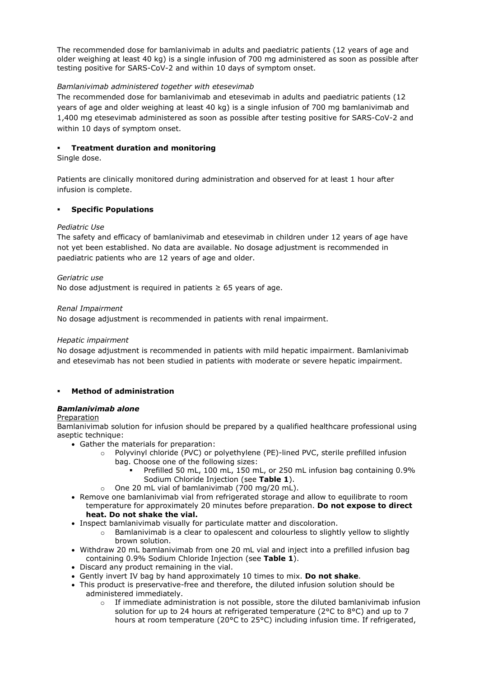The recommended dose for bamlanivimab in adults and paediatric patients (12 years of age and older weighing at least 40 kg) is a single infusion of 700 mg administered as soon as possible after testing positive for SARS-CoV-2 and within 10 days of symptom onset.

## *Bamlanivimab administered together with etesevimab*

The recommended dose for bamlanivimab and etesevimab in adults and paediatric patients (12 years of age and older weighing at least 40 kg) is a single infusion of 700 mg bamlanivimab and 1,400 mg etesevimab administered as soon as possible after testing positive for SARS-CoV-2 and within 10 days of symptom onset.

### **Treatment duration and monitoring**

Single dose.

Patients are clinically monitored during administration and observed for at least 1 hour after infusion is complete.

### **Specific Populations**

### *Pediatric Use*

The safety and efficacy of bamlanivimab and etesevimab in children under 12 years of age have not yet been established. No data are available. No dosage adjustment is recommended in paediatric patients who are 12 years of age and older.

### *Geriatric use*

No dose adjustment is required in patients  $\geq 65$  years of age.

### *Renal Impairment*

No dosage adjustment is recommended in patients with renal impairment.

### *Hepatic impairment*

No dosage adjustment is recommended in patients with mild hepatic impairment. Bamlanivimab and etesevimab has not been studied in patients with moderate or severe hepatic impairment.

## **Method of administration**

## *Bamlanivimab alone*

### Preparation

Bamlanivimab solution for infusion should be prepared by a qualified healthcare professional using aseptic technique:

- Gather the materials for preparation:
	- o Polyvinyl chloride (PVC) or polyethylene (PE)-lined PVC, sterile prefilled infusion bag. Choose one of the following sizes:
		- Prefilled 50 mL, 100 mL, 150 mL, or 250 mL infusion bag containing 0.9% Sodium Chloride Injection (see **Table 1**).
	- o One 20 mL vial of bamlanivimab (700 mg/20 mL).
- Remove one bamlanivimab vial from refrigerated storage and allow to equilibrate to room temperature for approximately 20 minutes before preparation. **Do not expose to direct heat. Do not shake the vial.**
- Inspect bamlanivimab visually for particulate matter and discoloration.
	- $\circ$  Bamlanivimab is a clear to opalescent and colourless to slightly yellow to slightly brown solution.
- Withdraw 20 mL bamlanivimab from one 20 mL vial and inject into a prefilled infusion bag containing 0.9% Sodium Chloride Injection (see **Table 1**).
- Discard any product remaining in the vial.
- Gently invert IV bag by hand approximately 10 times to mix. **Do not shake**.
- This product is preservative-free and therefore, the diluted infusion solution should be administered immediately.
	- $\circ$  If immediate administration is not possible, store the diluted bamlanivimab infusion solution for up to 24 hours at refrigerated temperature (2°C to 8°C) and up to 7 hours at room temperature (20°C to 25°C) including infusion time. If refrigerated,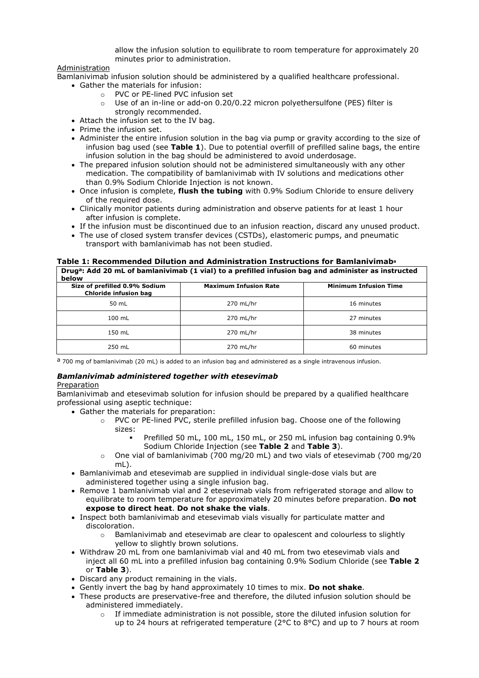allow the infusion solution to equilibrate to room temperature for approximately 20 minutes prior to administration.

### Administration

Bamlanivimab infusion solution should be administered by a qualified healthcare professional.

- Gather the materials for infusion:
	- o PVC or PE-lined PVC infusion set<br>  $\circ$  Use of an in-line or add-on 0.20/
	- Use of an in-line or add-on 0.20/0.22 micron polyethersulfone (PES) filter is strongly recommended.
- Attach the infusion set to the IV bag.
- Prime the infusion set.
- Administer the entire infusion solution in the bag via pump or gravity according to the size of infusion bag used (see **Table 1**). Due to potential overfill of prefilled saline bags, the entire infusion solution in the bag should be administered to avoid underdosage.
- The prepared infusion solution should not be administered simultaneously with any other medication. The compatibility of bamlanivimab with IV solutions and medications other than 0.9% Sodium Chloride Injection is not known.
- Once infusion is complete, **flush the tubing** with 0.9% Sodium Chloride to ensure delivery of the required dose.
- Clinically monitor patients during administration and observe patients for at least 1 hour after infusion is complete.
- If the infusion must be discontinued due to an infusion reaction, discard any unused product.
- The use of closed system transfer devices (CSTDs), elastomeric pumps, and pneumatic transport with bamlanivimab has not been studied.

**Table 1: Recommended Dilution and Administration Instructions for Bamlanivimaba Druga: Add 20 mL of bamlanivimab (1 vial) to a prefilled infusion bag and administer as instructed** 

| below                                                  |                              |                              |
|--------------------------------------------------------|------------------------------|------------------------------|
| Size of prefilled 0.9% Sodium<br>Chloride infusion bag | <b>Maximum Infusion Rate</b> | <b>Minimum Infusion Time</b> |
| 50 mL                                                  | 270 mL/hr                    | 16 minutes                   |
| 100 mL                                                 | 270 mL/hr                    | 27 minutes                   |
| 150 mL                                                 | 270 mL/hr                    | 38 minutes                   |
| 250 mL                                                 | 270 mL/hr                    | 60 minutes                   |

a 700 mg of bamlanivimab (20 mL) is added to an infusion bag and administered as a single intravenous infusion.

## *Bamlanivimab administered together with etesevimab*

### Preparation

Bamlanivimab and etesevimab solution for infusion should be prepared by a qualified healthcare professional using aseptic technique:

- Gather the materials for preparation:
	- PVC or PE-lined PVC, sterile prefilled infusion bag. Choose one of the following sizes:
		- Prefilled 50 mL, 100 mL, 150 mL, or 250 mL infusion bag containing 0.9% Sodium Chloride Injection (see **Table 2** and **Table 3**).
	- $\circ$  One vial of bamlanivimab (700 mg/20 mL) and two vials of etesevimab (700 mg/20 mL).
- Bamlanivimab and etesevimab are supplied in individual single-dose vials but are administered together using a single infusion bag.
- Remove 1 bamlanivimab vial and 2 etesevimab vials from refrigerated storage and allow to equilibrate to room temperature for approximately 20 minutes before preparation. **Do not expose to direct heat**. **Do not shake the vials**.
- Inspect both bamlanivimab and etesevimab vials visually for particulate matter and discoloration.
	- $\circ$  Bamlanivimab and etesevimab are clear to opalescent and colourless to slightly yellow to slightly brown solutions.
- Withdraw 20 mL from one bamlanivimab vial and 40 mL from two etesevimab vials and inject all 60 mL into a prefilled infusion bag containing 0.9% Sodium Chloride (see **Table 2** or **Table 3**).
- Discard any product remaining in the vials.
- Gently invert the bag by hand approximately 10 times to mix. **Do not shake**.
- These products are preservative-free and therefore, the diluted infusion solution should be administered immediately.
	- $\circ$  If immediate administration is not possible, store the diluted infusion solution for up to 24 hours at refrigerated temperature (2°C to 8°C) and up to 7 hours at room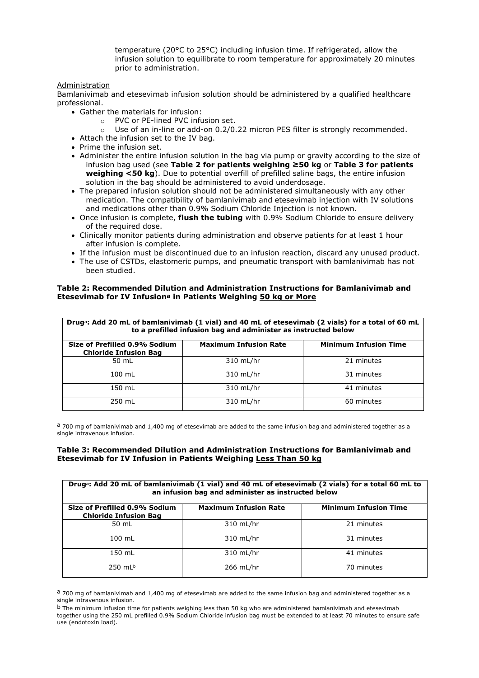temperature (20°C to 25°C) including infusion time. If refrigerated, allow the infusion solution to equilibrate to room temperature for approximately 20 minutes prior to administration.

### Administration

Bamlanivimab and etesevimab infusion solution should be administered by a qualified healthcare professional.

- Gather the materials for infusion:
	- o PVC or PE-lined PVC infusion set.
	- $\circ$  Use of an in-line or add-on 0.2/0.22 micron PES filter is strongly recommended.
- Attach the infusion set to the IV bag.
- Prime the infusion set.
- Administer the entire infusion solution in the bag via pump or gravity according to the size of infusion bag used (see **Table 2 for patients weighing ≥50 kg** or **Table 3 for patients weighing <50 kg**). Due to potential overfill of prefilled saline bags, the entire infusion solution in the bag should be administered to avoid underdosage.
- The prepared infusion solution should not be administered simultaneously with any other medication. The compatibility of bamlanivimab and etesevimab injection with IV solutions and medications other than 0.9% Sodium Chloride Injection is not known.
- Once infusion is complete, **flush the tubing** with 0.9% Sodium Chloride to ensure delivery of the required dose.
- Clinically monitor patients during administration and observe patients for at least 1 hour after infusion is complete.
- If the infusion must be discontinued due to an infusion reaction, discard any unused product.
- The use of CSTDs, elastomeric pumps, and pneumatic transport with bamlanivimab has not been studied.

#### **Table 2: Recommended Dilution and Administration Instructions for Bamlanivimab and Etesevimab for IV Infusiona in Patients Weighing 50 kg or More**

| Drug <sup>a</sup> : Add 20 mL of bamlanivimab (1 vial) and 40 mL of etesevimab (2 vials) for a total of 60 mL<br>to a prefilled infusion bag and administer as instructed below |                              |                              |  |
|---------------------------------------------------------------------------------------------------------------------------------------------------------------------------------|------------------------------|------------------------------|--|
| Size of Prefilled 0.9% Sodium<br><b>Chloride Infusion Bag</b>                                                                                                                   | <b>Maximum Infusion Rate</b> | <b>Minimum Infusion Time</b> |  |
| 50 mL                                                                                                                                                                           | 310 mL/hr                    | 21 minutes                   |  |
| $100$ mL                                                                                                                                                                        | $310$ mL/hr                  | 31 minutes                   |  |
| 150 mL                                                                                                                                                                          | 310 mL/hr                    | 41 minutes                   |  |
| 250 mL                                                                                                                                                                          | 310 mL/hr                    | 60 minutes                   |  |

 $a$  700 mg of bamlanivimab and 1,400 mg of etesevimab are added to the same infusion bag and administered together as a single intravenous infusion.

### **Table 3: Recommended Dilution and Administration Instructions for Bamlanivimab and Etesevimab for IV Infusion in Patients Weighing Less Than 50 kg**

| Drug <sup>a</sup> : Add 20 mL of bamlanivimab (1 vial) and 40 mL of etesevimab (2 vials) for a total 60 mL to<br>an infusion bag and administer as instructed below |           |            |  |  |
|---------------------------------------------------------------------------------------------------------------------------------------------------------------------|-----------|------------|--|--|
| <b>Minimum Infusion Time</b><br>Size of Prefilled 0.9% Sodium<br><b>Maximum Infusion Rate</b><br><b>Chloride Infusion Bag</b>                                       |           |            |  |  |
| 50 mL                                                                                                                                                               | 310 mL/hr | 21 minutes |  |  |
| $100$ mL                                                                                                                                                            | 310 mL/hr | 31 minutes |  |  |
| 150 mL                                                                                                                                                              | 310 mL/hr | 41 minutes |  |  |
| $250$ mLb                                                                                                                                                           | 266 mL/hr | 70 minutes |  |  |

a 700 mg of bamlanivimab and 1,400 mg of etesevimab are added to the same infusion bag and administered together as a single intravenous infusion.

b The minimum infusion time for patients weighing less than 50 kg who are administered bamlanivimab and etesevimab together using the 250 mL prefilled 0.9% Sodium Chloride infusion bag must be extended to at least 70 minutes to ensure safe use (endotoxin load).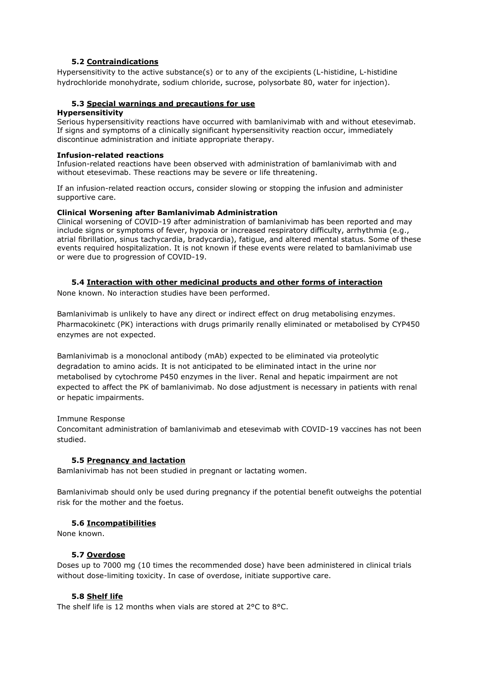## **5.2 Contraindications**

Hypersensitivity to the active substance(s) or to any of the excipients (L-histidine, L-histidine hydrochloride monohydrate, sodium chloride, sucrose, polysorbate 80, water for injection).

## **5.3 Special warnings and precautions for use**

### **Hypersensitivity**

Serious hypersensitivity reactions have occurred with bamlanivimab with and without etesevimab. If signs and symptoms of a clinically significant hypersensitivity reaction occur, immediately discontinue administration and initiate appropriate therapy.

#### **Infusion-related reactions**

Infusion-related reactions have been observed with administration of bamlanivimab with and without etesevimab. These reactions may be severe or life threatening.

If an infusion-related reaction occurs, consider slowing or stopping the infusion and administer supportive care.

### **Clinical Worsening after Bamlanivimab Administration**

Clinical worsening of COVID-19 after administration of bamlanivimab has been reported and may include signs or symptoms of fever, hypoxia or increased respiratory difficulty, arrhythmia (e.g., atrial fibrillation, sinus tachycardia, bradycardia), fatigue, and altered mental status. Some of these events required hospitalization. It is not known if these events were related to bamlanivimab use or were due to progression of COVID-19.

### **5.4 Interaction with other medicinal products and other forms of interaction**

None known. No interaction studies have been performed.

Bamlanivimab is unlikely to have any direct or indirect effect on drug metabolising enzymes. Pharmacokinetc (PK) interactions with drugs primarily renally eliminated or metabolised by CYP450 enzymes are not expected.

Bamlanivimab is a monoclonal antibody (mAb) expected to be eliminated via proteolytic degradation to amino acids. It is not anticipated to be eliminated intact in the urine nor metabolised by cytochrome P450 enzymes in the liver. Renal and hepatic impairment are not expected to affect the PK of bamlanivimab. No dose adjustment is necessary in patients with renal or hepatic impairments.

### Immune Response

Concomitant administration of bamlanivimab and etesevimab with COVID-19 vaccines has not been studied.

### **5.5 Pregnancy and lactation**

Bamlanivimab has not been studied in pregnant or lactating women.

Bamlanivimab should only be used during pregnancy if the potential benefit outweighs the potential risk for the mother and the foetus.

### **5.6 Incompatibilities**

None known.

### **5.7 Overdose**

Doses up to 7000 mg (10 times the recommended dose) have been administered in clinical trials without dose-limiting toxicity. In case of overdose, initiate supportive care.

## **5.8 Shelf life**

The shelf life is 12 months when vials are stored at 2°C to 8°C.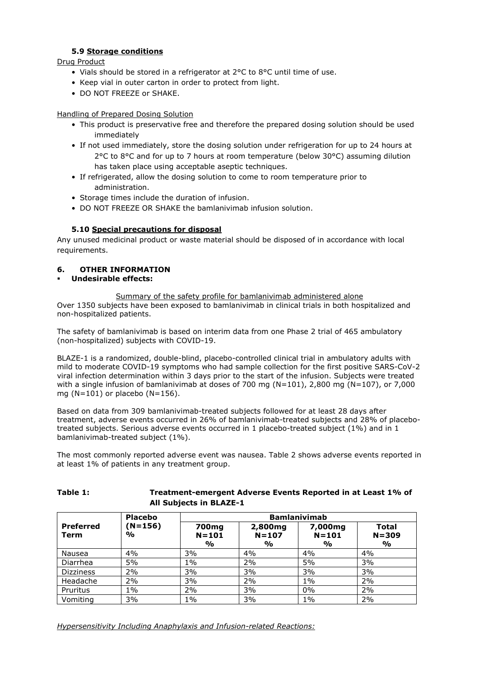# **5.9 Storage conditions**

Drug Product

- Vials should be stored in a refrigerator at 2°C to 8°C until time of use.
- Keep vial in outer carton in order to protect from light.
- DO NOT FREEZE or SHAKE.

## Handling of Prepared Dosing Solution

- This product is preservative free and therefore the prepared dosing solution should be used immediately
- If not used immediately, store the dosing solution under refrigeration for up to 24 hours at 2°C to 8°C and for up to 7 hours at room temperature (below 30°C) assuming dilution has taken place using acceptable aseptic techniques.
- If refrigerated, allow the dosing solution to come to room temperature prior to administration.
- Storage times include the duration of infusion.
- DO NOT FREEZE OR SHAKE the bamlanivimab infusion solution.

# **5.10 Special precautions for disposal**

Any unused medicinal product or waste material should be disposed of in accordance with local requirements.

## **6. OTHER INFORMATION**

**Undesirable effects:**

Summary of the safety profile for bamlanivimab administered alone Over 1350 subjects have been exposed to bamlanivimab in clinical trials in both hospitalized and non-hospitalized patients.

The safety of bamlanivimab is based on interim data from one Phase 2 trial of 465 ambulatory (non-hospitalized) subjects with COVID-19.

BLAZE-1 is a randomized, double-blind, placebo-controlled clinical trial in ambulatory adults with mild to moderate COVID-19 symptoms who had sample collection for the first positive SARS-CoV-2 viral infection determination within 3 days prior to the start of the infusion. Subjects were treated with a single infusion of bamlanivimab at doses of 700 mg ( $N=101$ ), 2,800 mg ( $N=107$ ), or 7,000 mg  $(N=101)$  or placebo  $(N=156)$ .

Based on data from 309 bamlanivimab-treated subjects followed for at least 28 days after treatment, adverse events occurred in 26% of bamlanivimab-treated subjects and 28% of placebotreated subjects. Serious adverse events occurred in 1 placebo-treated subject (1%) and in 1 bamlanivimab-treated subject (1%).

The most commonly reported adverse event was nausea. Table 2 shows adverse events reported in at least 1% of patients in any treatment group.

**Table 1: Treatment-emergent Adverse Events Reported in at Least 1% of** 

| <b>All Subjects in BLAZE-1</b> |                |                                                 |                                       |                                       |                                            |
|--------------------------------|----------------|-------------------------------------------------|---------------------------------------|---------------------------------------|--------------------------------------------|
|                                | <b>Placebo</b> | <b>Bamlanivimab</b>                             |                                       |                                       |                                            |
| <b>Preferred</b><br>Term       | (N=156)<br>%   | 700 <sub>mg</sub><br>$N = 101$<br>$\frac{0}{0}$ | 2,800 <sub>mg</sub><br>$N = 107$<br>% | 7,000mg<br>$N = 101$<br>$\frac{0}{0}$ | <b>Total</b><br>$N = 309$<br>$\frac{0}{0}$ |
| Nausea                         | 4%             | 3%                                              | 4%                                    | 4%                                    | 4%                                         |
| Diarrhea                       | 5%             | $1\%$                                           | 2%                                    | 5%                                    | 3%                                         |
| <b>Dizziness</b>               | 2%             | 3%                                              | 3%                                    | 3%                                    | 3%                                         |
| Headache                       | 2%             | 3%                                              | 2%                                    | $1\%$                                 | 2%                                         |
| Pruritus                       | $1\%$          | 2%                                              | 3%                                    | 0%                                    | 2%                                         |
| Vomiting                       | 3%             | $1\%$                                           | 3%                                    | 1%                                    | 2%                                         |

*Hypersensitivity Including Anaphylaxis and Infusion-related Reactions:*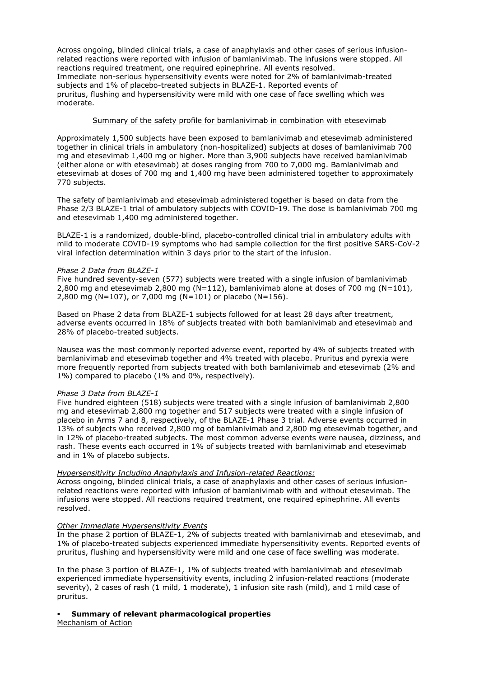Across ongoing, blinded clinical trials, a case of anaphylaxis and other cases of serious infusionrelated reactions were reported with infusion of bamlanivimab. The infusions were stopped. All reactions required treatment, one required epinephrine. All events resolved. Immediate non-serious hypersensitivity events were noted for 2% of bamlanivimab-treated subjects and 1% of placebo-treated subjects in BLAZE-1. Reported events of pruritus, flushing and hypersensitivity were mild with one case of face swelling which was moderate.

### Summary of the safety profile for bamlanivimab in combination with etesevimab

Approximately 1,500 subjects have been exposed to bamlanivimab and etesevimab administered together in clinical trials in ambulatory (non-hospitalized) subjects at doses of bamlanivimab 700 mg and etesevimab 1,400 mg or higher. More than 3,900 subjects have received bamlanivimab (either alone or with etesevimab) at doses ranging from 700 to 7,000 mg. Bamlanivimab and etesevimab at doses of 700 mg and 1,400 mg have been administered together to approximately 770 subjects.

The safety of bamlanivimab and etesevimab administered together is based on data from the Phase 2/3 BLAZE-1 trial of ambulatory subjects with COVID-19. The dose is bamlanivimab 700 mg and etesevimab 1,400 mg administered together.

BLAZE-1 is a randomized, double-blind, placebo-controlled clinical trial in ambulatory adults with mild to moderate COVID-19 symptoms who had sample collection for the first positive SARS-CoV-2 viral infection determination within 3 days prior to the start of the infusion.

### *Phase 2 Data from BLAZE-1*

Five hundred seventy-seven (577) subjects were treated with a single infusion of bamlanivimab 2,800 mg and etesevimab 2,800 mg (N=112), bamlanivimab alone at doses of 700 mg (N=101), 2,800 mg (N=107), or 7,000 mg (N=101) or placebo (N=156).

Based on Phase 2 data from BLAZE-1 subjects followed for at least 28 days after treatment, adverse events occurred in 18% of subjects treated with both bamlanivimab and etesevimab and 28% of placebo-treated subjects.

Nausea was the most commonly reported adverse event, reported by 4% of subjects treated with bamlanivimab and etesevimab together and 4% treated with placebo. Pruritus and pyrexia were more frequently reported from subjects treated with both bamlanivimab and etesevimab (2% and 1%) compared to placebo (1% and 0%, respectively).

### *Phase 3 Data from BLAZE-1*

Five hundred eighteen (518) subjects were treated with a single infusion of bamlanivimab 2,800 mg and etesevimab 2,800 mg together and 517 subjects were treated with a single infusion of placebo in Arms 7 and 8, respectively, of the BLAZE-1 Phase 3 trial. Adverse events occurred in 13% of subjects who received 2,800 mg of bamlanivimab and 2,800 mg etesevimab together, and in 12% of placebo-treated subjects. The most common adverse events were nausea, dizziness, and rash. These events each occurred in 1% of subjects treated with bamlanivimab and etesevimab and in 1% of placebo subjects.

### *Hypersensitivity Including Anaphylaxis and Infusion-related Reactions:*

Across ongoing, blinded clinical trials, a case of anaphylaxis and other cases of serious infusionrelated reactions were reported with infusion of bamlanivimab with and without etesevimab. The infusions were stopped. All reactions required treatment, one required epinephrine. All events resolved.

### *Other Immediate Hypersensitivity Events*

In the phase 2 portion of BLAZE-1, 2% of subjects treated with bamlanivimab and etesevimab, and 1% of placebo-treated subjects experienced immediate hypersensitivity events. Reported events of pruritus, flushing and hypersensitivity were mild and one case of face swelling was moderate.

In the phase 3 portion of BLAZE-1, 1% of subjects treated with bamlanivimab and etesevimab experienced immediate hypersensitivity events, including 2 infusion-related reactions (moderate severity), 2 cases of rash (1 mild, 1 moderate), 1 infusion site rash (mild), and 1 mild case of pruritus.

# **Summary of relevant pharmacological properties**

Mechanism of Action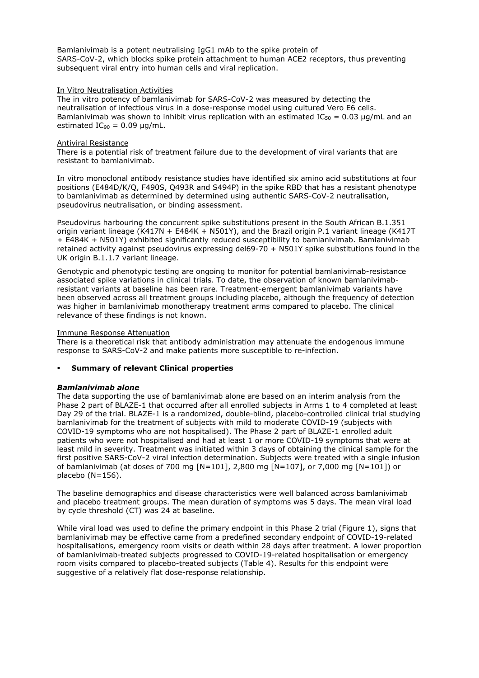Bamlanivimab is a potent neutralising IgG1 mAb to the spike protein of SARS-CoV-2, which blocks spike protein attachment to human ACE2 receptors, thus preventing subsequent viral entry into human cells and viral replication.

#### In Vitro Neutralisation Activities

The in vitro potency of bamlanivimab for SARS-CoV-2 was measured by detecting the neutralisation of infectious virus in a dose-response model using cultured Vero E6 cells. Bamlanivimab was shown to inhibit virus replication with an estimated  $IC_{50} = 0.03 \mu q/mL$  and an estimated  $IC_{90} = 0.09 \mu g/mL$ .

#### Antiviral Resistance

There is a potential risk of treatment failure due to the development of viral variants that are resistant to bamlanivimab.

In vitro monoclonal antibody resistance studies have identified six amino acid substitutions at four positions (E484D/K/Q, F490S, Q493R and S494P) in the spike RBD that has a resistant phenotype to bamlanivimab as determined by determined using authentic SARS-CoV-2 neutralisation, pseudovirus neutralisation, or binding assessment.

Pseudovirus harbouring the concurrent spike substitutions present in the South African B.1.351 origin variant lineage (K417N + E484K + N501Y), and the Brazil origin P.1 variant lineage (K417T + E484K + N501Y) exhibited significantly reduced susceptibility to bamlanivimab. Bamlanivimab retained activity against pseudovirus expressing del69-70 + N501Y spike substitutions found in the UK origin B.1.1.7 variant lineage.

Genotypic and phenotypic testing are ongoing to monitor for potential bamlanivimab-resistance associated spike variations in clinical trials. To date, the observation of known bamlanivimabresistant variants at baseline has been rare. Treatment-emergent bamlanivimab variants have been observed across all treatment groups including placebo, although the frequency of detection was higher in bamlanivimab monotherapy treatment arms compared to placebo. The clinical relevance of these findings is not known.

#### Immune Response Attenuation

There is a theoretical risk that antibody administration may attenuate the endogenous immune response to SARS-CoV-2 and make patients more susceptible to re-infection.

### **Summary of relevant Clinical properties**

### *Bamlanivimab alone*

The data supporting the use of bamlanivimab alone are based on an interim analysis from the Phase 2 part of BLAZE-1 that occurred after all enrolled subjects in Arms 1 to 4 completed at least Day 29 of the trial. BLAZE-1 is a randomized, double-blind, placebo-controlled clinical trial studying bamlanivimab for the treatment of subjects with mild to moderate COVID-19 (subjects with COVID-19 symptoms who are not hospitalised). The Phase 2 part of BLAZE-1 enrolled adult patients who were not hospitalised and had at least 1 or more COVID-19 symptoms that were at least mild in severity. Treatment was initiated within 3 days of obtaining the clinical sample for the first positive SARS-CoV-2 viral infection determination. Subjects were treated with a single infusion of bamlanivimab (at doses of 700 mg [N=101], 2,800 mg [N=107], or 7,000 mg [N=101]) or placebo (N=156).

The baseline demographics and disease characteristics were well balanced across bamlanivimab and placebo treatment groups. The mean duration of symptoms was 5 days. The mean viral load by cycle threshold (CT) was 24 at baseline.

While viral load was used to define the primary endpoint in this Phase 2 trial (Figure 1), signs that bamlanivimab may be effective came from a predefined secondary endpoint of COVID-19-related hospitalisations, emergency room visits or death within 28 days after treatment. A lower proportion of bamlanivimab-treated subjects progressed to COVID-19-related hospitalisation or emergency room visits compared to placebo-treated subjects (Table 4). Results for this endpoint were suggestive of a relatively flat dose-response relationship.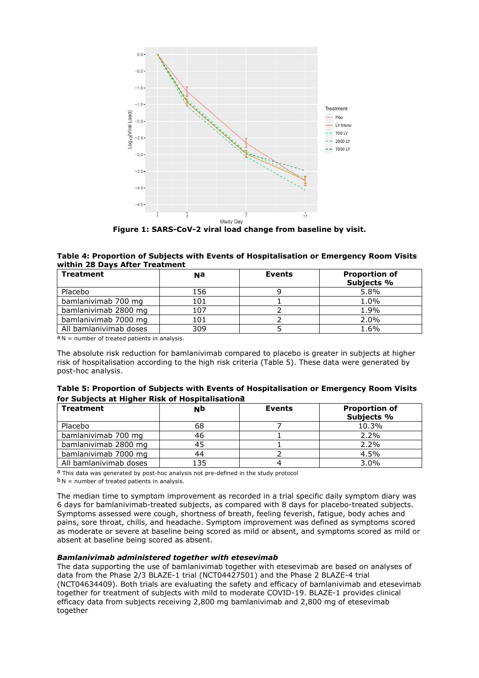

**Figure 1: SARS-CoV-2 viral load change from baseline by visit.**

### **Table 4: Proportion of Subjects with Events of Hospitalisation or Emergency Room Visits within 28 Days After Treatment**

| <b>Treatment</b>       | Nа  | <b>Events</b> | <b>Proportion of</b><br>Subjects % |
|------------------------|-----|---------------|------------------------------------|
| Placebo                | 156 |               | 5.8%                               |
| bamlanivimab 700 mg    | 101 |               | 1.0%                               |
| bamlanivimab 2800 mg   | 107 |               | 1.9%                               |
| bamlanivimab 7000 mg   | 101 |               | 2.0%                               |
| All bamlanivimab doses | 309 |               | 1.6%                               |

 $a_N$  = number of treated patients in analysis.

The absolute risk reduction for bamlanivimab compared to placebo is greater in subjects at higher risk of hospitalisation according to the high risk criteria (Table 5). These data were generated by post-hoc analysis.

| Table 5: Proportion of Subjects with Events of Hospitalisation or Emergency Room Visits |  |
|-----------------------------------------------------------------------------------------|--|
| for Subjects at Higher Risk of Hospitalisation <sup>a</sup>                             |  |

| <b>Treatment</b>       | NÞ  | <b>Events</b> | <b>Proportion of</b><br>Subjects % |
|------------------------|-----|---------------|------------------------------------|
| Placebo                | 68  |               | 10.3%                              |
| bamlanivimab 700 mg    | 46  |               | 2.2%                               |
| bamlanivimab 2800 mg   |     |               | 2.2%                               |
| bamlanivimab 7000 mg   | 44  |               | 4.5%                               |
| All bamlanivimab doses | 135 |               | 3.0%                               |

a This data was generated by post-hoc analysis not pre-defined in the study protocol

 $b_N$  = number of treated patients in analysis.

The median time to symptom improvement as recorded in a trial specific daily symptom diary was 6 days for bamlanivimab-treated subjects, as compared with 8 days for placebo-treated subjects. Symptoms assessed were cough, shortness of breath, feeling feverish, fatigue, body aches and pains, sore throat, chills, and headache. Symptom improvement was defined as symptoms scored as moderate or severe at baseline being scored as mild or absent, and symptoms scored as mild or absent at baseline being scored as absent.

#### *Bamlanivimab administered together with etesevimab*

The data supporting the use of bamlanivimab together with etesevimab are based on analyses of data from the Phase 2/3 BLAZE-1 trial (NCT04427501) and the Phase 2 BLAZE-4 trial (NCT04634409). Both trials are evaluating the safety and efficacy of bamlanivimab and etesevimab together for treatment of subjects with mild to moderate COVID-19. BLAZE-1 provides clinical efficacy data from subjects receiving 2,800 mg bamlanivimab and 2,800 mg of etesevimab together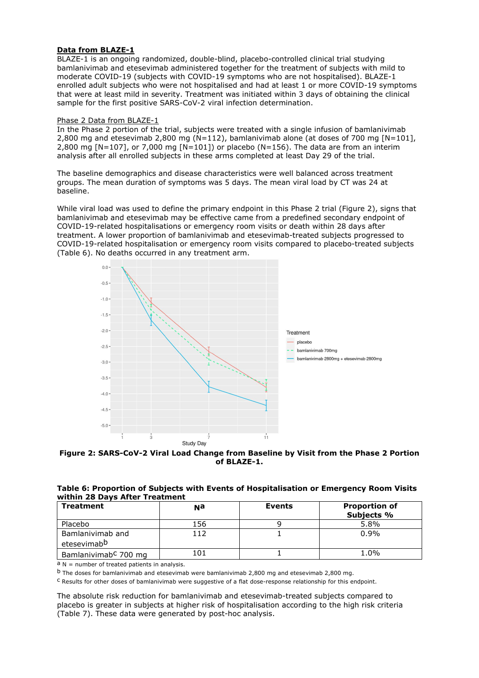### **Data from BLAZE-1**

BLAZE-1 is an ongoing randomized, double-blind, placebo-controlled clinical trial studying bamlanivimab and etesevimab administered together for the treatment of subjects with mild to moderate COVID-19 (subjects with COVID-19 symptoms who are not hospitalised). BLAZE-1 enrolled adult subjects who were not hospitalised and had at least 1 or more COVID-19 symptoms that were at least mild in severity. Treatment was initiated within 3 days of obtaining the clinical sample for the first positive SARS-CoV-2 viral infection determination.

### Phase 2 Data from BLAZE-1

In the Phase 2 portion of the trial, subjects were treated with a single infusion of bamlanivimab 2,800 mg and etesevimab 2,800 mg (N=112), bamlanivimab alone (at doses of 700 mg [N=101], 2,800 mg  $[N=107]$ , or 7,000 mg  $[N=101]$ ) or placebo (N=156). The data are from an interim analysis after all enrolled subjects in these arms completed at least Day 29 of the trial.

The baseline demographics and disease characteristics were well balanced across treatment groups. The mean duration of symptoms was 5 days. The mean viral load by CT was 24 at baseline.

While viral load was used to define the primary endpoint in this Phase 2 trial (Figure 2), signs that bamlanivimab and etesevimab may be effective came from a predefined secondary endpoint of COVID-19-related hospitalisations or emergency room visits or death within 28 days after treatment. A lower proportion of bamlanivimab and etesevimab-treated subjects progressed to COVID-19-related hospitalisation or emergency room visits compared to placebo-treated subjects (Table 6). No deaths occurred in any treatment arm.



**Figure 2: SARS-CoV-2 Viral Load Change from Baseline by Visit from the Phase 2 Portion of BLAZE-1.**

|                                | Table 6: Proportion of Subjects with Events of Hospitalisation or Emergency Room Visits |
|--------------------------------|-----------------------------------------------------------------------------------------|
| within 28 Days After Treatment |                                                                                         |

| <b>Treatment</b>                            | Na  | <b>Events</b> | <b>Proportion of</b><br>Subjects % |
|---------------------------------------------|-----|---------------|------------------------------------|
| Placebo                                     | 156 |               | 5.8%                               |
| Bamlanivimab and<br>etesevimab <sup>b</sup> |     |               | 0.9%                               |
| Bamlanivimab <sup>C</sup> 700 mg            | 101 |               | 1.0%                               |

 $a$  N = number of treated patients in analysis.

b The doses for bamlanivimab and etesevimab were bamlanivimab 2,800 mg and etesevimab 2,800 mg.

c Results for other doses of bamlanivimab were suggestive of a flat dose-response relationship for this endpoint.

The absolute risk reduction for bamlanivimab and etesevimab-treated subjects compared to placebo is greater in subjects at higher risk of hospitalisation according to the high risk criteria (Table 7). These data were generated by post-hoc analysis.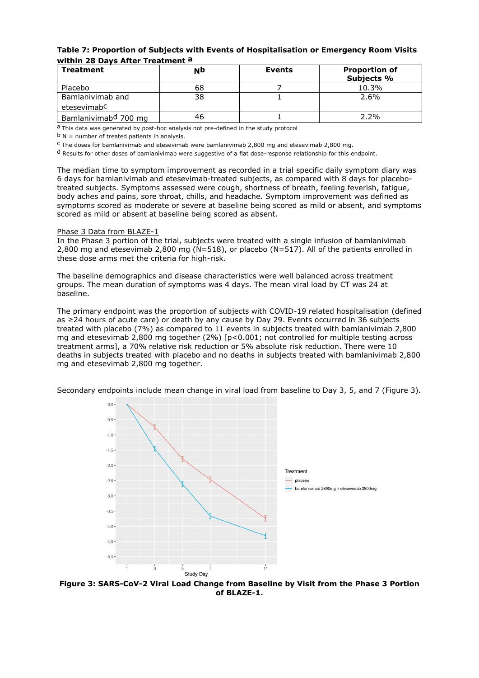### **Table 7: Proportion of Subjects with Events of Hospitalisation or Emergency Room Visits within 28 Days After Treatment a**

| <b>Treatment</b>                            | NÞ | <b>Events</b> | <b>Proportion of</b><br>Subjects % |
|---------------------------------------------|----|---------------|------------------------------------|
| Placebo                                     | 68 |               | 10.3%                              |
| Bamlanivimab and<br>etesevimab <sup>C</sup> | 38 |               | 2.6%                               |
| Bamlanivimab <sup>d</sup> 700 mg            | 46 |               | $2.2\%$                            |

a This data was generated by post-hoc analysis not pre-defined in the study protocol

 $b$  N = number of treated patients in analysis.

 $c$  The doses for bamlanivimab and etesevimab were bamlanivimab 2,800 mg and etesevimab 2,800 mg.

d Results for other doses of bamlanivimab were suggestive of a flat dose-response relationship for this endpoint.

The median time to symptom improvement as recorded in a trial specific daily symptom diary was 6 days for bamlanivimab and etesevimab-treated subjects, as compared with 8 days for placebotreated subjects. Symptoms assessed were cough, shortness of breath, feeling feverish, fatigue, body aches and pains, sore throat, chills, and headache. Symptom improvement was defined as symptoms scored as moderate or severe at baseline being scored as mild or absent, and symptoms scored as mild or absent at baseline being scored as absent.

#### Phase 3 Data from BLAZE-1

In the Phase 3 portion of the trial, subjects were treated with a single infusion of bamlanivimab 2,800 mg and etesevimab 2,800 mg (N=518), or placebo (N=517). All of the patients enrolled in these dose arms met the criteria for high-risk.

The baseline demographics and disease characteristics were well balanced across treatment groups. The mean duration of symptoms was 4 days. The mean viral load by CT was 24 at baseline.

The primary endpoint was the proportion of subjects with COVID-19 related hospitalisation (defined as ≥24 hours of acute care) or death by any cause by Day 29. Events occurred in 36 subjects treated with placebo (7%) as compared to 11 events in subjects treated with bamlanivimab 2,800 mg and etesevimab 2,800 mg together (2%) [p<0.001; not controlled for multiple testing across treatment arms], a 70% relative risk reduction or 5% absolute risk reduction. There were 10 deaths in subjects treated with placebo and no deaths in subjects treated with bamlanivimab 2,800 mg and etesevimab 2,800 mg together.



Secondary endpoints include mean change in viral load from baseline to Day 3, 5, and 7 (Figure 3).

**Figure 3: SARS-CoV-2 Viral Load Change from Baseline by Visit from the Phase 3 Portion of BLAZE-1.**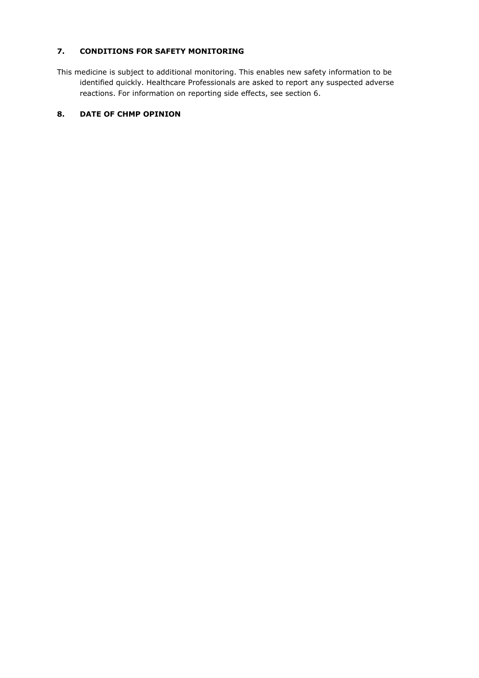# **7. CONDITIONS FOR SAFETY MONITORING**

This medicine is subject to additional monitoring. This enables new safety information to be identified quickly. Healthcare Professionals are asked to report any suspected adverse reactions. For information on reporting side effects, see section 6.

### **8. DATE OF CHMP OPINION**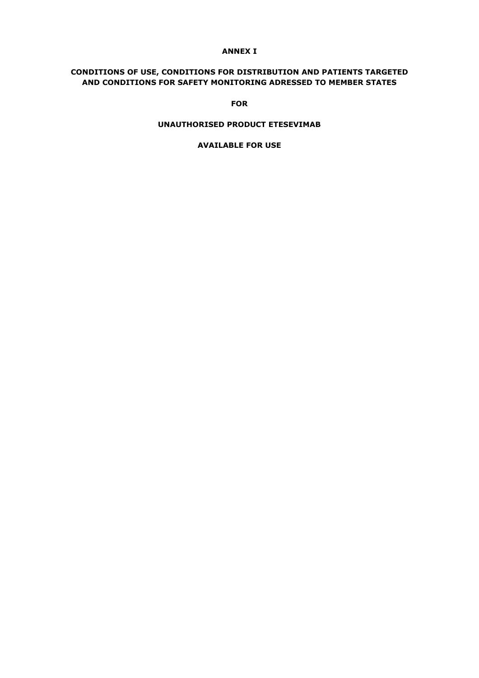## **ANNEX I**

## **CONDITIONS OF USE, CONDITIONS FOR DISTRIBUTION AND PATIENTS TARGETED AND CONDITIONS FOR SAFETY MONITORING ADRESSED TO MEMBER STATES**

**FOR**

### **UNAUTHORISED PRODUCT ETESEVIMAB**

**AVAILABLE FOR USE**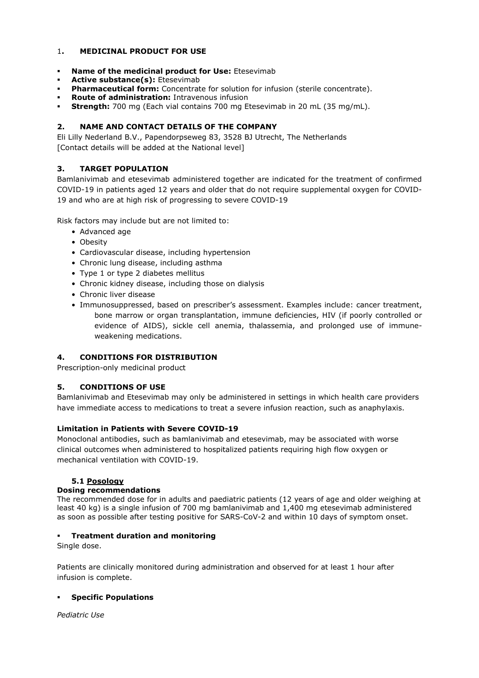## 1**. MEDICINAL PRODUCT FOR USE**

- **Name of the medicinal product for Use:** Etesevimab
- **Active substance(s):** Etesevimab
- **Pharmaceutical form:** Concentrate for solution for infusion (sterile concentrate).
- **Route of administration:** Intravenous infusion
- **Strength:** 700 mg (Each vial contains 700 mg Etesevimab in 20 mL (35 mg/mL).

## **2. NAME AND CONTACT DETAILS OF THE COMPANY**

Eli Lilly Nederland B.V., Papendorpseweg 83, 3528 BJ Utrecht, The Netherlands [Contact details will be added at the National level]

### **3. TARGET POPULATION**

Bamlanivimab and etesevimab administered together are indicated for the treatment of confirmed COVID-19 in patients aged 12 years and older that do not require supplemental oxygen for COVID-19 and who are at high risk of progressing to severe COVID-19

Risk factors may include but are not limited to:

- Advanced age
- Obesity
- Cardiovascular disease, including hypertension
- Chronic lung disease, including asthma
- Type 1 or type 2 diabetes mellitus
- Chronic kidney disease, including those on dialysis
- Chronic liver disease
- Immunosuppressed, based on prescriber's assessment. Examples include: cancer treatment, bone marrow or organ transplantation, immune deficiencies, HIV (if poorly controlled or evidence of AIDS), sickle cell anemia, thalassemia, and prolonged use of immuneweakening medications.

## **4. CONDITIONS FOR DISTRIBUTION**

Prescription-only medicinal product

## **5. CONDITIONS OF USE**

Bamlanivimab and Etesevimab may only be administered in settings in which health care providers have immediate access to medications to treat a severe infusion reaction, such as anaphylaxis.

### **Limitation in Patients with Severe COVID-19**

Monoclonal antibodies, such as bamlanivimab and etesevimab, may be associated with worse clinical outcomes when administered to hospitalized patients requiring high flow oxygen or mechanical ventilation with COVID-19.

## **5.1 Posology**

### **Dosing recommendations**

The recommended dose for in adults and paediatric patients (12 years of age and older weighing at least 40 kg) is a single infusion of 700 mg bamlanivimab and 1,400 mg etesevimab administered as soon as possible after testing positive for SARS-CoV-2 and within 10 days of symptom onset.

### **Treatment duration and monitoring**

Single dose.

Patients are clinically monitored during administration and observed for at least 1 hour after infusion is complete.

### **Specific Populations**

*Pediatric Use*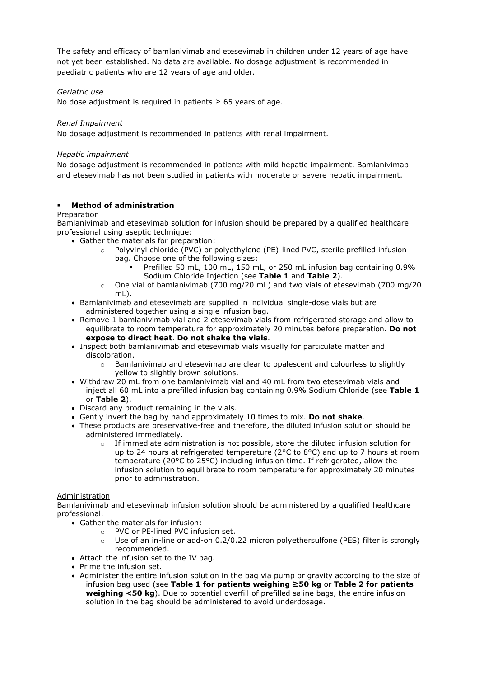The safety and efficacy of bamlanivimab and etesevimab in children under 12 years of age have not yet been established. No data are available. No dosage adjustment is recommended in paediatric patients who are 12 years of age and older.

### *Geriatric use*

No dose adjustment is required in patients  $\geq$  65 years of age.

### *Renal Impairment*

No dosage adjustment is recommended in patients with renal impairment.

### *Hepatic impairment*

No dosage adjustment is recommended in patients with mild hepatic impairment. Bamlanivimab and etesevimab has not been studied in patients with moderate or severe hepatic impairment.

### **Method of administration**

### Preparation

Bamlanivimab and etesevimab solution for infusion should be prepared by a qualified healthcare professional using aseptic technique:

- Gather the materials for preparation:
	- o Polyvinyl chloride (PVC) or polyethylene (PE)-lined PVC, sterile prefilled infusion bag. Choose one of the following sizes:
		- Prefilled 50 mL, 100 mL, 150 mL, or 250 mL infusion bag containing 0.9% Sodium Chloride Injection (see **Table 1** and **Table 2**).
	- $\circ$  One vial of bamlanivimab (700 mg/20 mL) and two vials of etesevimab (700 mg/20 mL).
- Bamlanivimab and etesevimab are supplied in individual single-dose vials but are administered together using a single infusion bag.
- Remove 1 bamlanivimab vial and 2 etesevimab vials from refrigerated storage and allow to equilibrate to room temperature for approximately 20 minutes before preparation. **Do not expose to direct heat**. **Do not shake the vials**.
- Inspect both bamlanivimab and etesevimab vials visually for particulate matter and discoloration.
	- $\circ$  Bamlanivimab and etesevimab are clear to opalescent and colourless to slightly yellow to slightly brown solutions.
- Withdraw 20 mL from one bamlanivimab vial and 40 mL from two etesevimab vials and inject all 60 mL into a prefilled infusion bag containing 0.9% Sodium Chloride (see **Table 1**  or **Table 2**).
- Discard any product remaining in the vials.
- Gently invert the bag by hand approximately 10 times to mix. **Do not shake**.
- These products are preservative-free and therefore, the diluted infusion solution should be administered immediately.
	- $\circ$  If immediate administration is not possible, store the diluted infusion solution for up to 24 hours at refrigerated temperature (2°C to 8°C) and up to 7 hours at room temperature (20°C to 25°C) including infusion time. If refrigerated, allow the infusion solution to equilibrate to room temperature for approximately 20 minutes prior to administration.

## **Administration**

Bamlanivimab and etesevimab infusion solution should be administered by a qualified healthcare professional.

- Gather the materials for infusion:
	- $\circ$  PVC or PE-lined PVC infusion set.<br> $\circ$  Use of an in-line or add-on 0.2/0.
	- Use of an in-line or add-on 0.2/0.22 micron polyethersulfone (PES) filter is strongly recommended.
- Attach the infusion set to the IV bag.
- Prime the infusion set.
- Administer the entire infusion solution in the bag via pump or gravity according to the size of infusion bag used (see **Table 1 for patients weighing ≥50 kg** or **Table 2 for patients weighing <50 kg**). Due to potential overfill of prefilled saline bags, the entire infusion solution in the bag should be administered to avoid underdosage.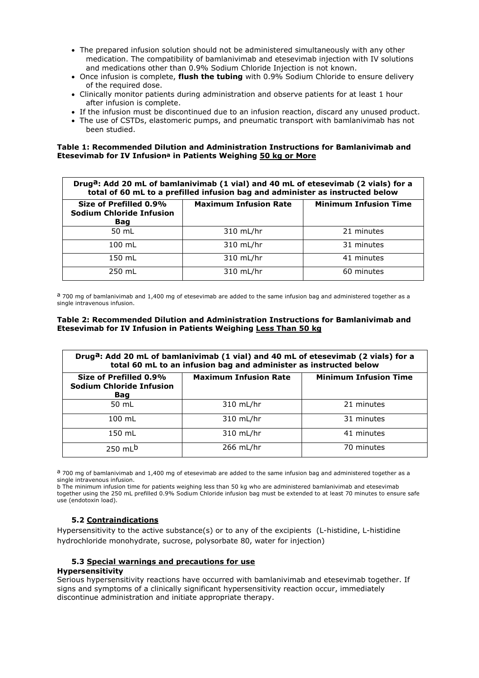- The prepared infusion solution should not be administered simultaneously with any other medication. The compatibility of bamlanivimab and etesevimab injection with IV solutions and medications other than 0.9% Sodium Chloride Injection is not known.
- Once infusion is complete, **flush the tubing** with 0.9% Sodium Chloride to ensure delivery of the required dose.
- Clinically monitor patients during administration and observe patients for at least 1 hour after infusion is complete.
- If the infusion must be discontinued due to an infusion reaction, discard any unused product.
- The use of CSTDs, elastomeric pumps, and pneumatic transport with bamlanivimab has not been studied.

**Table 1: Recommended Dilution and Administration Instructions for Bamlanivimab and Etesevimab for IV Infusiona in Patients Weighing 50 kg or More**

| Druga: Add 20 mL of bamlanivimab (1 vial) and 40 mL of etesevimab (2 vials) for a<br>total of 60 mL to a prefilled infusion bag and administer as instructed below |                              |                              |  |  |
|--------------------------------------------------------------------------------------------------------------------------------------------------------------------|------------------------------|------------------------------|--|--|
| Size of Prefilled 0.9%<br><b>Sodium Chloride Infusion</b><br>Bag                                                                                                   | <b>Maximum Infusion Rate</b> | <b>Minimum Infusion Time</b> |  |  |
| 50 mL                                                                                                                                                              | 310 mL/hr                    | 21 minutes                   |  |  |
| $100$ mL                                                                                                                                                           | 310 mL/hr                    | 31 minutes                   |  |  |
| 150 mL                                                                                                                                                             | 310 mL/hr                    | 41 minutes                   |  |  |
| 250 mL                                                                                                                                                             | 310 mL/hr                    | 60 minutes                   |  |  |

a 700 mg of bamlanivimab and 1,400 mg of etesevimab are added to the same infusion bag and administered together as a single intravenous infusion.

### **Table 2: Recommended Dilution and Administration Instructions for Bamlanivimab and Etesevimab for IV Infusion in Patients Weighing Less Than 50 kg**

| Druga: Add 20 mL of bamlanivimab (1 vial) and 40 mL of etesevimab (2 vials) for a<br>total 60 mL to an infusion bag and administer as instructed below |                              |                              |  |
|--------------------------------------------------------------------------------------------------------------------------------------------------------|------------------------------|------------------------------|--|
| Size of Prefilled 0.9%<br><b>Sodium Chloride Infusion</b><br>Bag                                                                                       | <b>Maximum Infusion Rate</b> | <b>Minimum Infusion Time</b> |  |
| 50 mL                                                                                                                                                  | 310 mL/hr                    | 21 minutes                   |  |
| $100$ mL                                                                                                                                               | 310 mL/hr                    | 31 minutes                   |  |
| 150 mL                                                                                                                                                 | 310 mL/hr                    | 41 minutes                   |  |
| 250 mL <sup>b</sup>                                                                                                                                    | $266$ mL/hr                  | 70 minutes                   |  |

 $a$  700 mg of bamlanivimab and 1,400 mg of etesevimab are added to the same infusion bag and administered together as a single intravenous infusion.

b The minimum infusion time for patients weighing less than 50 kg who are administered bamlanivimab and etesevimab together using the 250 mL prefilled 0.9% Sodium Chloride infusion bag must be extended to at least 70 minutes to ensure safe use (endotoxin load).

## **5.2 Contraindications**

Hypersensitivity to the active substance(s) or to any of the excipients (L-histidine, L-histidine hydrochloride monohydrate, sucrose, polysorbate 80, water for injection)

## **5.3 Special warnings and precautions for use**

### **Hypersensitivity**

Serious hypersensitivity reactions have occurred with bamlanivimab and etesevimab together. If signs and symptoms of a clinically significant hypersensitivity reaction occur, immediately discontinue administration and initiate appropriate therapy.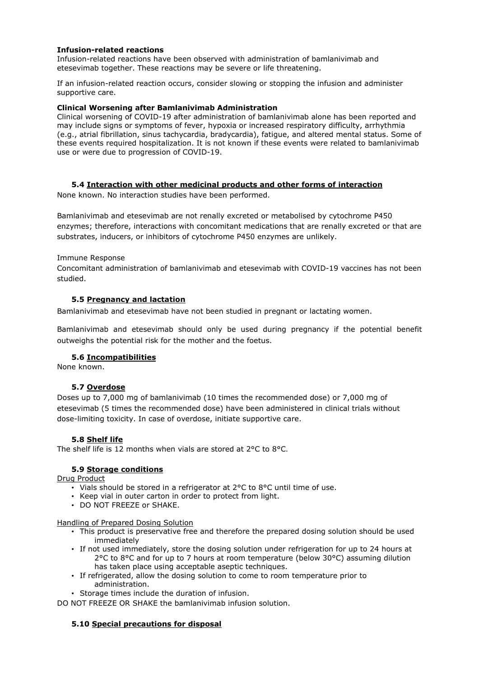### **Infusion-related reactions**

Infusion-related reactions have been observed with administration of bamlanivimab and etesevimab together. These reactions may be severe or life threatening.

If an infusion-related reaction occurs, consider slowing or stopping the infusion and administer supportive care.

### **Clinical Worsening after Bamlanivimab Administration**

Clinical worsening of COVID-19 after administration of bamlanivimab alone has been reported and may include signs or symptoms of fever, hypoxia or increased respiratory difficulty, arrhythmia (e.g., atrial fibrillation, sinus tachycardia, bradycardia), fatigue, and altered mental status. Some of these events required hospitalization. It is not known if these events were related to bamlanivimab use or were due to progression of COVID-19.

### **5.4 Interaction with other medicinal products and other forms of interaction**

None known. No interaction studies have been performed.

Bamlanivimab and etesevimab are not renally excreted or metabolised by cytochrome P450 enzymes; therefore, interactions with concomitant medications that are renally excreted or that are substrates, inducers, or inhibitors of cytochrome P450 enzymes are unlikely.

### Immune Response

Concomitant administration of bamlanivimab and etesevimab with COVID-19 vaccines has not been studied.

### **5.5 Pregnancy and lactation**

Bamlanivimab and etesevimab have not been studied in pregnant or lactating women.

Bamlanivimab and etesevimab should only be used during pregnancy if the potential benefit outweighs the potential risk for the mother and the foetus.

## **5.6 Incompatibilities**

None known.

## **5.7 Overdose**

Doses up to 7,000 mg of bamlanivimab (10 times the recommended dose) or 7,000 mg of etesevimab (5 times the recommended dose) have been administered in clinical trials without dose-limiting toxicity. In case of overdose, initiate supportive care.

### **5.8 Shelf life**

The shelf life is 12 months when vials are stored at 2°C to 8°C.

## **5.9 Storage conditions**

Drug Product

- Vials should be stored in a refrigerator at  $2^{\circ}$ C to  $8^{\circ}$ C until time of use.
- Keep vial in outer carton in order to protect from light.
- DO NOT FREEZE or SHAKE.

Handling of Prepared Dosing Solution

- This product is preservative free and therefore the prepared dosing solution should be used immediately
- If not used immediately, store the dosing solution under refrigeration for up to 24 hours at 2°C to 8°C and for up to 7 hours at room temperature (below 30°C) assuming dilution has taken place using acceptable aseptic techniques.
- If refrigerated, allow the dosing solution to come to room temperature prior to administration.
- Storage times include the duration of infusion.

DO NOT FREEZE OR SHAKE the bamlanivimab infusion solution.

## **5.10 Special precautions for disposal**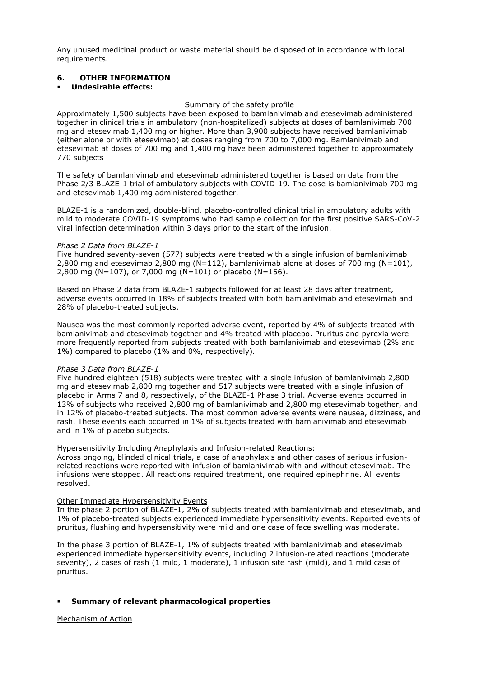Any unused medicinal product or waste material should be disposed of in accordance with local requirements.

### **6. OTHER INFORMATION**

### **Undesirable effects:**

#### Summary of the safety profile

Approximately 1,500 subjects have been exposed to bamlanivimab and etesevimab administered together in clinical trials in ambulatory (non-hospitalized) subjects at doses of bamlanivimab 700 mg and etesevimab 1,400 mg or higher. More than 3,900 subjects have received bamlanivimab (either alone or with etesevimab) at doses ranging from 700 to 7,000 mg. Bamlanivimab and etesevimab at doses of 700 mg and 1,400 mg have been administered together to approximately 770 subjects

The safety of bamlanivimab and etesevimab administered together is based on data from the Phase 2/3 BLAZE-1 trial of ambulatory subjects with COVID-19. The dose is bamlanivimab 700 mg and etesevimab 1,400 mg administered together.

BLAZE-1 is a randomized, double-blind, placebo-controlled clinical trial in ambulatory adults with mild to moderate COVID-19 symptoms who had sample collection for the first positive SARS-CoV-2 viral infection determination within 3 days prior to the start of the infusion.

#### *Phase 2 Data from BLAZE-1*

Five hundred seventy-seven (577) subjects were treated with a single infusion of bamlanivimab 2,800 mg and etesevimab 2,800 mg ( $N=112$ ), bamlanivimab alone at doses of 700 mg ( $N=101$ ), 2,800 mg (N=107), or 7,000 mg (N=101) or placebo (N=156).

Based on Phase 2 data from BLAZE-1 subjects followed for at least 28 days after treatment, adverse events occurred in 18% of subjects treated with both bamlanivimab and etesevimab and 28% of placebo-treated subjects.

Nausea was the most commonly reported adverse event, reported by 4% of subjects treated with bamlanivimab and etesevimab together and 4% treated with placebo. Pruritus and pyrexia were more frequently reported from subjects treated with both bamlanivimab and etesevimab (2% and 1%) compared to placebo (1% and 0%, respectively).

### *Phase 3 Data from BLAZE-1*

Five hundred eighteen (518) subjects were treated with a single infusion of bamlanivimab 2,800 mg and etesevimab 2,800 mg together and 517 subjects were treated with a single infusion of placebo in Arms 7 and 8, respectively, of the BLAZE-1 Phase 3 trial. Adverse events occurred in 13% of subjects who received 2,800 mg of bamlanivimab and 2,800 mg etesevimab together, and in 12% of placebo-treated subjects. The most common adverse events were nausea, dizziness, and rash. These events each occurred in 1% of subjects treated with bamlanivimab and etesevimab and in 1% of placebo subjects.

### Hypersensitivity Including Anaphylaxis and Infusion-related Reactions:

Across ongoing, blinded clinical trials, a case of anaphylaxis and other cases of serious infusionrelated reactions were reported with infusion of bamlanivimab with and without etesevimab. The infusions were stopped. All reactions required treatment, one required epinephrine. All events resolved.

#### Other Immediate Hypersensitivity Events

In the phase 2 portion of BLAZE-1, 2% of subjects treated with bamlanivimab and etesevimab, and 1% of placebo-treated subjects experienced immediate hypersensitivity events. Reported events of pruritus, flushing and hypersensitivity were mild and one case of face swelling was moderate.

In the phase 3 portion of BLAZE-1, 1% of subjects treated with bamlanivimab and etesevimab experienced immediate hypersensitivity events, including 2 infusion-related reactions (moderate severity), 2 cases of rash (1 mild, 1 moderate), 1 infusion site rash (mild), and 1 mild case of pruritus.

### **Summary of relevant pharmacological properties**

Mechanism of Action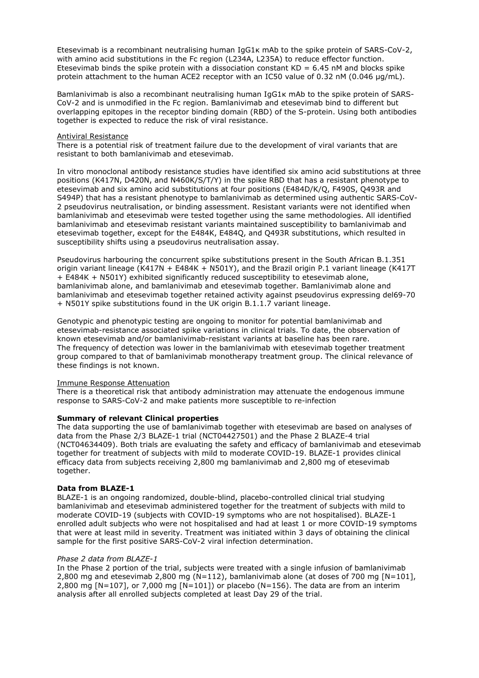Etesevimab is a recombinant neutralising human IgG1κ mAb to the spike protein of SARS-CoV-2, with amino acid substitutions in the Fc region (L234A, L235A) to reduce effector function. Etesevimab binds the spike protein with a dissociation constant  $KD = 6.45$  nM and blocks spike protein attachment to the human ACE2 receptor with an IC50 value of 0.32 nM (0.046 μg/mL).

Bamlanivimab is also a recombinant neutralising human IgG1κ mAb to the spike protein of SARS-CoV-2 and is unmodified in the Fc region. Bamlanivimab and etesevimab bind to different but overlapping epitopes in the receptor binding domain (RBD) of the S-protein. Using both antibodies together is expected to reduce the risk of viral resistance.

#### Antiviral Resistance

There is a potential risk of treatment failure due to the development of viral variants that are resistant to both bamlanivimab and etesevimab.

In vitro monoclonal antibody resistance studies have identified six amino acid substitutions at three positions (K417N, D420N, and N460K/S/T/Y) in the spike RBD that has a resistant phenotype to etesevimab and six amino acid substitutions at four positions (E484D/K/Q, F490S, Q493R and S494P) that has a resistant phenotype to bamlanivimab as determined using authentic SARS-CoV-2 pseudovirus neutralisation, or binding assessment. Resistant variants were not identified when bamlanivimab and etesevimab were tested together using the same methodologies. All identified bamlanivimab and etesevimab resistant variants maintained susceptibility to bamlanivimab and etesevimab together, except for the E484K, E484Q, and Q493R substitutions, which resulted in susceptibility shifts using a pseudovirus neutralisation assay.

Pseudovirus harbouring the concurrent spike substitutions present in the South African B.1.351 origin variant lineage (K417N + E484K + N501Y), and the Brazil origin P.1 variant lineage (K417T + E484K + N501Y) exhibited significantly reduced susceptibility to etesevimab alone, bamlanivimab alone, and bamlanivimab and etesevimab together. Bamlanivimab alone and bamlanivimab and etesevimab together retained activity against pseudovirus expressing del69-70 + N501Y spike substitutions found in the UK origin B.1.1.7 variant lineage.

Genotypic and phenotypic testing are ongoing to monitor for potential bamlanivimab and etesevimab-resistance associated spike variations in clinical trials. To date, the observation of known etesevimab and/or bamlanivimab-resistant variants at baseline has been rare. The frequency of detection was lower in the bamlanivimab with etesevimab together treatment group compared to that of bamlanivimab monotherapy treatment group. The clinical relevance of these findings is not known.

### Immune Response Attenuation

There is a theoretical risk that antibody administration may attenuate the endogenous immune response to SARS-CoV-2 and make patients more susceptible to re-infection

### **Summary of relevant Clinical properties**

The data supporting the use of bamlanivimab together with etesevimab are based on analyses of data from the Phase 2/3 BLAZE-1 trial (NCT04427501) and the Phase 2 BLAZE-4 trial (NCT04634409). Both trials are evaluating the safety and efficacy of bamlanivimab and etesevimab together for treatment of subjects with mild to moderate COVID-19. BLAZE-1 provides clinical efficacy data from subjects receiving 2,800 mg bamlanivimab and 2,800 mg of etesevimab together.

### **Data from BLAZE-1**

BLAZE-1 is an ongoing randomized, double-blind, placebo-controlled clinical trial studying bamlanivimab and etesevimab administered together for the treatment of subjects with mild to moderate COVID-19 (subjects with COVID-19 symptoms who are not hospitalised). BLAZE-1 enrolled adult subjects who were not hospitalised and had at least 1 or more COVID-19 symptoms that were at least mild in severity. Treatment was initiated within 3 days of obtaining the clinical sample for the first positive SARS-CoV-2 viral infection determination.

### *Phase 2 data from BLAZE-1*

In the Phase 2 portion of the trial, subjects were treated with a single infusion of bamlanivimab 2,800 mg and etesevimab 2,800 mg (N=112), bamlanivimab alone (at doses of 700 mg [N=101], 2,800 mg  $[N=107]$ , or 7,000 mg  $[N=101]$ ) or placebo (N=156). The data are from an interim analysis after all enrolled subjects completed at least Day 29 of the trial.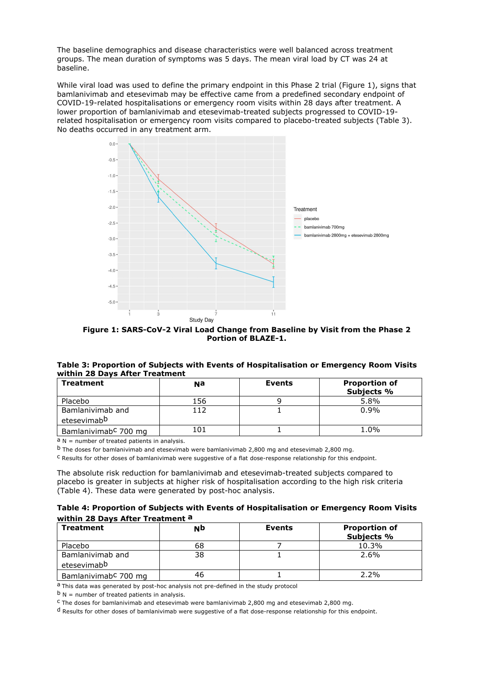The baseline demographics and disease characteristics were well balanced across treatment groups. The mean duration of symptoms was 5 days. The mean viral load by CT was 24 at baseline.

While viral load was used to define the primary endpoint in this Phase 2 trial (Figure 1), signs that bamlanivimab and etesevimab may be effective came from a predefined secondary endpoint of COVID-19-related hospitalisations or emergency room visits within 28 days after treatment. A lower proportion of bamlanivimab and etesevimab-treated subjects progressed to COVID-19 related hospitalisation or emergency room visits compared to placebo-treated subjects (Table 3). No deaths occurred in any treatment arm.



**Figure 1: SARS-CoV-2 Viral Load Change from Baseline by Visit from the Phase 2 Portion of BLAZE-1.**

|                                | Table 3: Proportion of Subjects with Events of Hospitalisation or Emergency Room Visits |
|--------------------------------|-----------------------------------------------------------------------------------------|
| within 28 Days After Treatment |                                                                                         |

| <b>Treatment</b>                 | Nа  | <b>Events</b> | <b>Proportion of</b> |
|----------------------------------|-----|---------------|----------------------|
|                                  |     |               | Subjects %           |
| Placebo                          | 156 |               | 5.8%                 |
| Bamlanivimab and                 | 112 |               | 0.9%                 |
| etesevimabb                      |     |               |                      |
| Bamlanivimab <sup>c</sup> 700 mg | 101 |               | 1.0%                 |

 $a$  N = number of treated patients in analysis.

 $<sup>b</sup>$  The doses for bamlanivimab and etesevimab were bamlanivimab 2,800 mg and etesevimab 2,800 mg.</sup>

c Results for other doses of bamlanivimab were suggestive of a flat dose-response relationship for this endpoint.

The absolute risk reduction for bamlanivimab and etesevimab-treated subjects compared to placebo is greater in subjects at higher risk of hospitalisation according to the high risk criteria (Table 4). These data were generated by post-hoc analysis.

| Table 4: Proportion of Subjects with Events of Hospitalisation or Emergency Room Visits |  |
|-----------------------------------------------------------------------------------------|--|
| within 28 Days After Treatment a                                                        |  |

| <b>Treatment</b>                            | NÞ | <b>Events</b> | <b>Proportion of</b><br>Subjects % |
|---------------------------------------------|----|---------------|------------------------------------|
| Placebo                                     | 68 |               | 10.3%                              |
| Bamlanivimab and<br>etesevimab <sup>b</sup> | 38 |               | 2.6%                               |
| Bamlanivimab <sup>c</sup> 700 mg            | 46 |               | $2.2\%$                            |

a This data was generated by post-hoc analysis not pre-defined in the study protocol

 $b$  N = number of treated patients in analysis.

c The doses for bamlanivimab and etesevimab were bamlanivimab 2,800 mg and etesevimab 2,800 mg.

d Results for other doses of bamlanivimab were suggestive of a flat dose-response relationship for this endpoint.